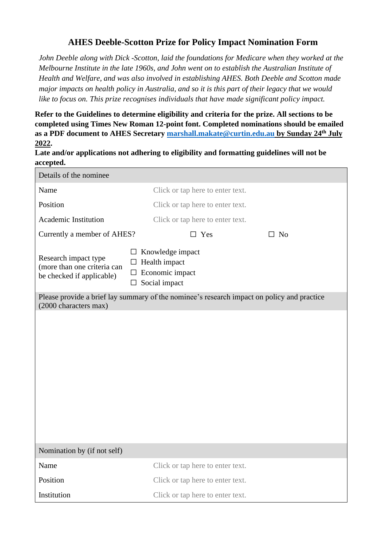## **AHES Deeble-Scotton Prize for Policy Impact Nomination Form**

*John Deeble along with Dick -Scotton, laid the foundations for Medicare when they worked at the Melbourne Institute in the late 1960s, and John went on to establish the Australian Institute of Health and Welfare, and was also involved in establishing AHES. Both Deeble and Scotton made major impacts on health policy in Australia, and so it is this part of their legacy that we would like to focus on. This prize recognises individuals that have made significant policy impact.*

**Refer to the Guidelines to determine eligibility and criteria for the prize. All sections to be completed using Times New Roman 12-point font. Completed nominations should be emailed as a PDF document to AHES Secretary [marshall.makate@curtin.edu.au](mailto:marshall.makate@curtin.edu.au) by Sunday 24th July 2022.**

**Late and/or applications not adhering to eligibility and formatting guidelines will not be accepted.**

| Details of the nominee                                                                                              |                                                                                                 |
|---------------------------------------------------------------------------------------------------------------------|-------------------------------------------------------------------------------------------------|
| Name                                                                                                                | Click or tap here to enter text.                                                                |
| Position                                                                                                            | Click or tap here to enter text.                                                                |
| Academic Institution                                                                                                | Click or tap here to enter text.                                                                |
| Currently a member of AHES?                                                                                         | $\square$ Yes<br>$\square$ No                                                                   |
| Research impact type<br>(more than one criteria can<br>be checked if applicable)                                    | Knowledge impact<br>ப<br>$\Box$ Health impact<br>$\Box$ Economic impact<br>$\Box$ Social impact |
| Please provide a brief lay summary of the nominee's research impact on policy and practice<br>(2000 characters max) |                                                                                                 |
|                                                                                                                     |                                                                                                 |
| Nomination by (if not self)                                                                                         |                                                                                                 |
| Name                                                                                                                | Click or tap here to enter text.                                                                |
| Position                                                                                                            | Click or tap here to enter text.                                                                |
| Institution                                                                                                         | Click or tap here to enter text.                                                                |